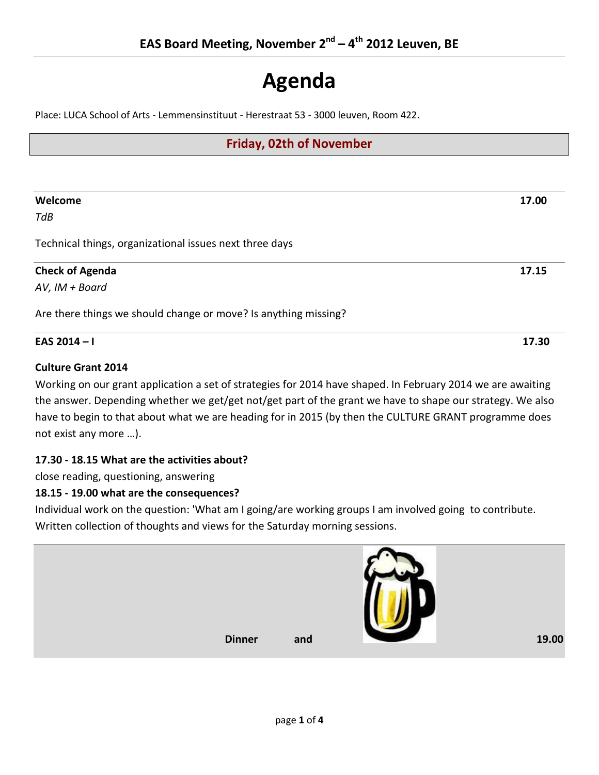# **Agenda**

Place: LUCA School of Arts - Lemmensinstituut - Herestraat 53 - 3000 leuven, Room 422.

### **Friday, 02th of November**

| Welcome                                                         | 17.00 |
|-----------------------------------------------------------------|-------|
| TdB                                                             |       |
| Technical things, organizational issues next three days         |       |
| <b>Check of Agenda</b>                                          | 17.15 |
| AV, IM + Board                                                  |       |
| Are there things we should change or move? Is anything missing? |       |
| EAS 2014-I                                                      | 17.30 |

#### **Culture Grant 2014**

Working on our grant application a set of strategies for 2014 have shaped. In February 2014 we are awaiting the answer. Depending whether we get/get not/get part of the grant we have to shape our strategy. We also have to begin to that about what we are heading for in 2015 (by then the CULTURE GRANT programme does not exist any more …).

#### **17.30 - 18.15 What are the activities about?**

close reading, questioning, answering

#### **18.15 - 19.00 what are the consequences?**

Individual work on the question: 'What am I going/are working groups I am involved going to contribute. Written collection of thoughts and views for the Saturday morning sessions.

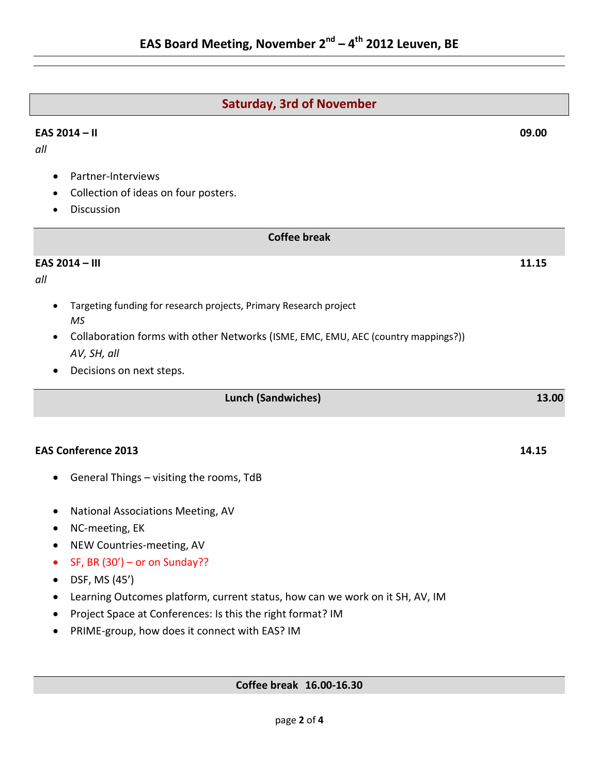## **Saturday, 3rd of November**

#### **EAS 2014 – II 09.00**

*all*

*all*

*MS*

• Partner-Interviews • Collection of ideas on four posters. • Discussion **Coffee break EAS 2014 – III 11.15** Targeting funding for research projects, Primary Research project • Collaboration forms with other Networks (ISME, EMC, EMU, AEC (country mappings?)) *AV, SH, all* Decisions on next steps. **Lunch (Sandwiches) 13.00 EAS Conference 2013 14.15** General Things – visiting the rooms, TdB National Associations Meeting, AV • NC-meeting, EK • NEW Countries-meeting, AV  $\bullet$  SF, BR (30') – or on Sunday?? DSF, MS (45') Learning Outcomes platform, current status, how can we work on it SH, AV, IM • Project Space at Conferences: Is this the right format? IM PRIME-group, how does it connect with EAS? IM **Coffee break 16.00-16.30**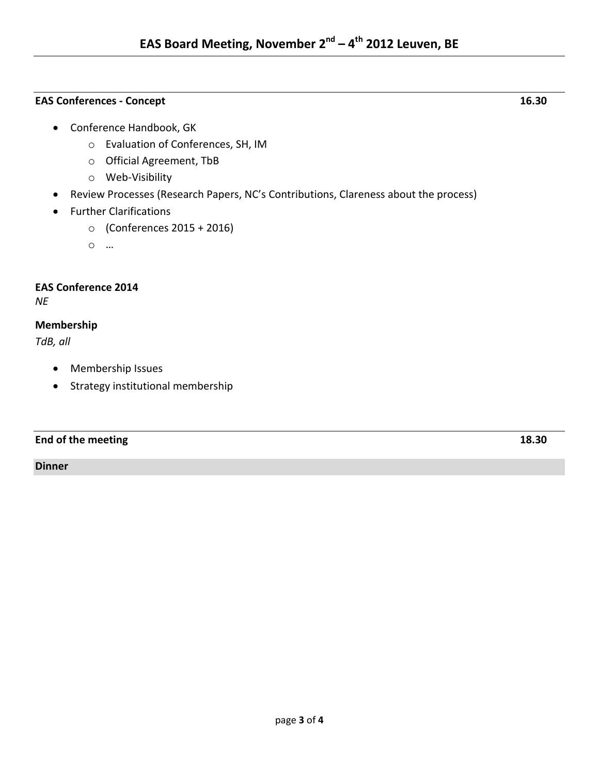#### **EAS Conferences - Concept 16.30**

- o Evaluation of Conferences, SH, IM
- o Official Agreement, TbB
- o Web-Visibility
- Review Processes (Research Papers, NC's Contributions, Clareness about the process)
- **•** Further Clarifications
	- o (Conferences 2015 + 2016)

o …

#### **EAS Conference 2014**

*NE*

#### **Membership**

*TdB, all*

- Membership Issues
- Strategy institutional membership

#### **End of the meeting 18.30**

**Dinner**